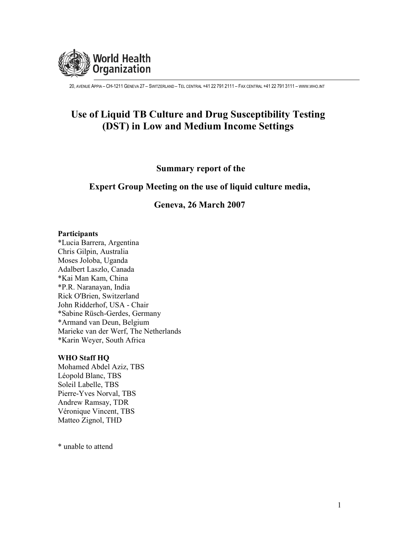

# Use of Liquid TB Culture and Drug Susceptibility Testing (DST) in Low and Medium Income Settings

# **Summary report of the**

# Expert Group Meeting on the use of liquid culture media,

# Geneva, 26 March 2007

#### Participants

\*Lucia Barrera, Argentina Chris Gilpin, Australia Moses Joloba, Uganda Adalbert Laszlo, Canada \*Kai Man Kam, China \*P.R. Naranayan, India Rick O'Brien, Switzerland John Ridderhof, USA - Chair \*Sabine Rüsch-Gerdes, Germany \*Armand van Deun, Belgium Marieke van der Werf. The Netherlands \*Karin Weyer, South Africa

#### **WHO Staff HO**

Mohamed Abdel Aziz, TBS Léopold Blanc, TBS Soleil Labelle, TBS Pierre-Yves Norval, TBS Andrew Ramsay, TDR Véronique Vincent, TBS Matteo Zignol, THD

\* unable to attend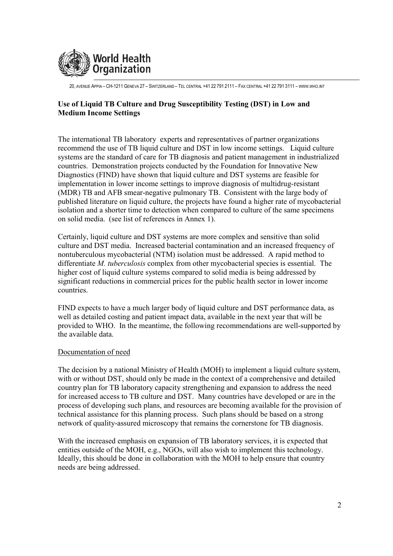

# Use of Liquid TB Culture and Drug Susceptibility Testing (DST) in Low and **Medium Income Settings**

The international TB laboratory experts and representatives of partner organizations recommend the use of TB liquid culture and DST in low income settings. Liquid culture systems are the standard of care for TB diagnosis and patient management in industrialized countries. Demonstration projects conducted by the Foundation for Innovative New Diagnostics (FIND) have shown that liquid culture and DST systems are feasible for implementation in lower income settings to improve diagnosis of multidrug-resistant (MDR) TB and AFB smear-negative pulmonary TB. Consistent with the large body of published literature on liquid culture, the projects have found a higher rate of mycobacterial isolation and a shorter time to detection when compared to culture of the same specimens on solid media. (see list of references in Annex 1).

Certainly, liquid culture and DST systems are more complex and sensitive than solid culture and DST media. Increased bacterial contamination and an increased frequency of nontuberculous mycobacterial (NTM) isolation must be addressed. A rapid method to differentiate *M. tuberculosis* complex from other mycobacterial species is essential. The higher cost of liquid culture systems compared to solid media is being addressed by significant reductions in commercial prices for the public health sector in lower income countries.

FIND expects to have a much larger body of liquid culture and DST performance data, as well as detailed costing and patient impact data, available in the next year that will be provided to WHO. In the meantime, the following recommendations are well-supported by the available data.

#### Documentation of need

The decision by a national Ministry of Health (MOH) to implement a liquid culture system, with or without DST, should only be made in the context of a comprehensive and detailed country plan for TB laboratory capacity strengthening and expansion to address the need for increased access to TB culture and DST. Many countries have developed or are in the process of developing such plans, and resources are becoming available for the provision of technical assistance for this planning process. Such plans should be based on a strong network of quality-assured microscopy that remains the cornerstone for TB diagnosis.

With the increased emphasis on expansion of TB laboratory services, it is expected that entities outside of the MOH, e.g., NGOs, will also wish to implement this technology. Ideally, this should be done in collaboration with the MOH to help ensure that country needs are being addressed.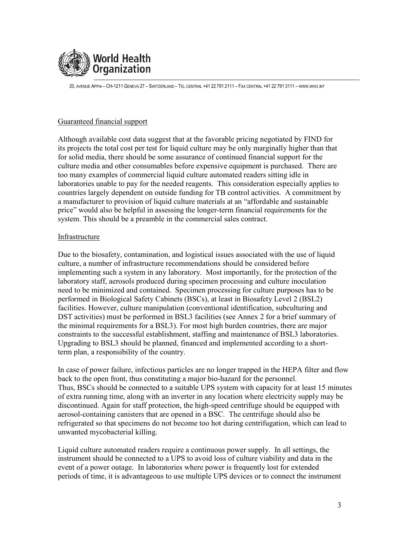

# Guaranteed financial support

Although available cost data suggest that at the favorable pricing negotiated by FIND for its projects the total cost per test for liquid culture may be only marginally higher than that for solid media, there should be some assurance of continued financial support for the culture media and other consumables before expensive equipment is purchased. There are too many examples of commercial liquid culture automated readers sitting idle in laboratories unable to pay for the needed reagents. This consideration especially applies to countries largely dependent on outside funding for TB control activities. A commitment by a manufacturer to provision of liquid culture materials at an "affordable and sustainable price" would also be helpful in assessing the longer-term financial requirements for the system. This should be a preamble in the commercial sales contract.

## Infrastructure

Due to the biosafety, contamination, and logistical issues associated with the use of liquid culture, a number of infrastructure recommendations should be considered before implementing such a system in any laboratory. Most importantly, for the protection of the laboratory staff, aerosols produced during specimen processing and culture inoculation need to be minimized and contained. Specimen processing for culture purposes has to be performed in Biological Safety Cabinets (BSCs), at least in Biosafety Level 2 (BSL2) facilities. However, culture manipulation (conventional identification, subculturing and DST activities) must be performed in BSL3 facilities (see Annex 2 for a brief summary of the minimal requirements for a BSL3). For most high burden countries, there are major constraints to the successful establishment, staffing and maintenance of BSL3 laboratories. Upgrading to BSL3 should be planned, financed and implemented according to a shortterm plan, a responsibility of the country.

In case of power failure, infectious particles are no longer trapped in the HEPA filter and flow back to the open front, thus constituting a major bio-hazard for the personnel. Thus, BSCs should be connected to a suitable UPS system with capacity for at least 15 minutes of extra running time, along with an inverter in any location where electricity supply may be discontinued. Again for staff protection, the high-speed centrifuge should be equipped with aerosol-containing canisters that are opened in a BSC. The centrifuge should also be refrigerated so that specimens do not become too hot during centrifugation, which can lead to unwanted mycobacterial killing.

Liquid culture automated readers require a continuous power supply. In all settings, the instrument should be connected to a UPS to avoid loss of culture viability and data in the event of a power outage. In laboratories where power is frequently lost for extended periods of time, it is advantageous to use multiple UPS devices or to connect the instrument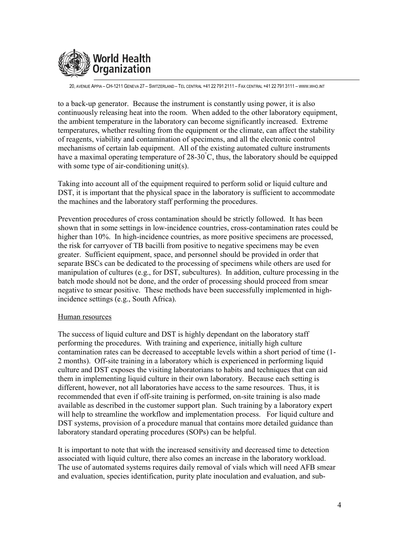

to a back-up generator. Because the instrument is constantly using power, it is also continuously releasing heat into the room. When added to the other laboratory equipment. the ambient temperature in the laboratory can become significantly increased. Extreme temperatures, whether resulting from the equipment or the climate, can affect the stability of reagents, viability and contamination of specimens, and all the electronic control mechanisms of certain lab equipment. All of the existing automated culture instruments have a maximal operating temperature of  $28-30^{\circ}$ C, thus, the laboratory should be equipped with some type of air-conditioning unit(s).

Taking into account all of the equipment required to perform solid or liquid culture and DST, it is important that the physical space in the laboratory is sufficient to accommodate the machines and the laboratory staff performing the procedures.

Prevention procedures of cross contamination should be strictly followed. It has been shown that in some settings in low-incidence countries, cross-contamination rates could be higher than 10%. In high-incidence countries, as more positive specimens are processed. the risk for carryover of TB bacilli from positive to negative specimens may be even greater. Sufficient equipment, space, and personnel should be provided in order that separate BSCs can be dedicated to the processing of specimens while others are used for manipulation of cultures (e.g., for DST, subcultures). In addition, culture processing in the batch mode should not be done, and the order of processing should proceed from smear negative to smear positive. These methods have been successfully implemented in highincidence settings (e.g., South Africa).

#### Human resources

The success of liquid culture and DST is highly dependant on the laboratory staff performing the procedures. With training and experience, initially high culture contamination rates can be decreased to acceptable levels within a short period of time (1-2 months). Off-site training in a laboratory which is experienced in performing liquid culture and DST exposes the visiting laboratorians to habits and techniques that can aid them in implementing liquid culture in their own laboratory. Because each setting is different, however, not all laboratories have access to the same resources. Thus, it is recommended that even if off-site training is performed, on-site training is also made available as described in the customer support plan. Such training by a laboratory expert will help to streamline the workflow and implementation process. For liquid culture and DST systems, provision of a procedure manual that contains more detailed guidance than laboratory standard operating procedures (SOPs) can be helpful.

It is important to note that with the increased sensitivity and decreased time to detection associated with liquid culture, there also comes an increase in the laboratory workload. The use of automated systems requires daily removal of vials which will need AFB smear and evaluation, species identification, purity plate inoculation and evaluation, and sub-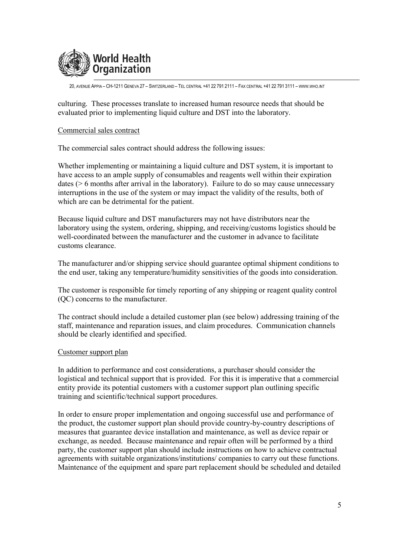

culturing. These processes translate to increased human resource needs that should be evaluated prior to implementing liquid culture and DST into the laboratory.

#### Commercial sales contract

The commercial sales contract should address the following issues:

Whether implementing or maintaining a liquid culture and DST system, it is important to have access to an ample supply of consumables and reagents well within their expiration dates ( $> 6$  months after arrival in the laboratory). Failure to do so may cause unnecessary interruptions in the use of the system or may impact the validity of the results, both of which are can be detrimental for the patient.

Because liquid culture and DST manufacturers may not have distributors near the laboratory using the system, ordering, shipping, and receiving/customs logistics should be well-coordinated between the manufacturer and the customer in advance to facilitate customs clearance

The manufacturer and/or shipping service should guarantee optimal shipment conditions to the end user, taking any temperature/humidity sensitivities of the goods into consideration.

The customer is responsible for timely reporting of any shipping or reagent quality control (OC) concerns to the manufacturer.

The contract should include a detailed customer plan (see below) addressing training of the staff, maintenance and reparation issues, and claim procedures. Communication channels should be clearly identified and specified.

#### Customer support plan

In addition to performance and cost considerations, a purchaser should consider the logistical and technical support that is provided. For this it is imperative that a commercial entity provide its potential customers with a customer support plan outlining specific training and scientific/technical support procedures.

In order to ensure proper implementation and ongoing successful use and performance of the product, the customer support plan should provide country-by-country descriptions of measures that guarantee device installation and maintenance, as well as device repair or exchange, as needed. Because maintenance and repair often will be performed by a third party, the customer support plan should include instructions on how to achieve contractual agreements with suitable organizations/institutions/companies to carry out these functions. Maintenance of the equipment and spare part replacement should be scheduled and detailed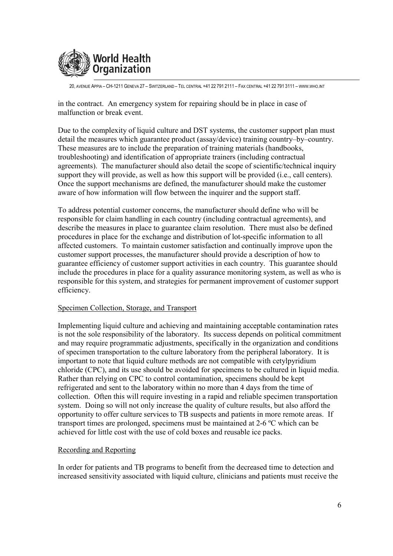

in the contract. An emergency system for repairing should be in place in case of malfunction or break event.

Due to the complexity of liquid culture and DST systems, the customer support plan must detail the measures which guarantee product (assay/device) training country-by-country. These measures are to include the preparation of training materials (handbooks, troubleshooting) and identification of appropriate trainers (including contractual agreements). The manufacturer should also detail the scope of scientific/technical inquiry support they will provide, as well as how this support will be provided (i.e., call centers). Once the support mechanisms are defined, the manufacturer should make the customer aware of how information will flow between the inquirer and the support staff.

To address potential customer concerns, the manufacturer should define who will be responsible for claim handling in each country (including contractual agreements), and describe the measures in place to guarantee claim resolution. There must also be defined procedures in place for the exchange and distribution of lot-specific information to all affected customers. To maintain customer satisfaction and continually improve upon the customer support processes, the manufacturer should provide a description of how to guarantee efficiency of customer support activities in each country. This guarantee should include the procedures in place for a quality assurance monitoring system, as well as who is responsible for this system, and strategies for permanent improvement of customer support efficiency.

## Specimen Collection, Storage, and Transport

Implementing liquid culture and achieving and maintaining acceptable contamination rates is not the sole responsibility of the laboratory. Its success depends on political commitment and may require programmatic adjustments, specifically in the organization and conditions of specimen transportation to the culture laboratory from the peripheral laboratory. It is important to note that liquid culture methods are not compatible with cetylpyridium chloride (CPC), and its use should be avoided for specimens to be cultured in liquid media. Rather than relying on CPC to control contamination, specimens should be kept refrigerated and sent to the laboratory within no more than 4 days from the time of collection. Often this will require investing in a rapid and reliable specimen transportation system. Doing so will not only increase the quality of culture results, but also afford the opportunity to offer culture services to TB suspects and patients in more remote areas. If transport times are prolonged, specimens must be maintained at 2-6 °C which can be achieved for little cost with the use of cold boxes and reusable ice packs.

## Recording and Reporting

In order for patients and TB programs to benefit from the decreased time to detection and increased sensitivity associated with liquid culture, clinicians and patients must receive the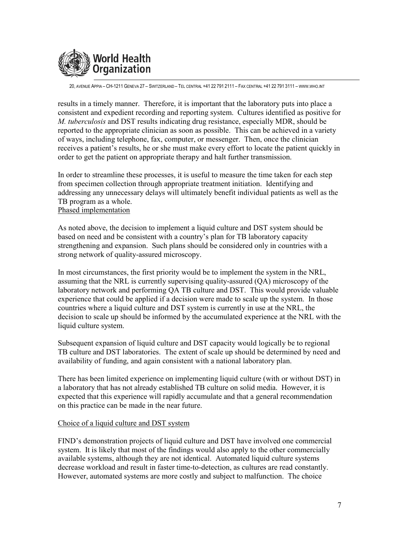

results in a timely manner. Therefore, it is important that the laboratory puts into place a consistent and expedient recording and reporting system. Cultures identified as positive for M. tuberculosis and DST results indicating drug resistance, especially MDR, should be reported to the appropriate clinician as soon as possible. This can be achieved in a variety of ways, including telephone, fax, computer, or messenger. Then, once the clinician receives a patient's results, he or she must make every effort to locate the patient quickly in order to get the patient on appropriate therapy and halt further transmission.

In order to streamline these processes, it is useful to measure the time taken for each step from specimen collection through appropriate treatment initiation. Identifying and addressing any unnecessary delays will ultimately benefit individual patients as well as the TB program as a whole. Phased implementation

As noted above, the decision to implement a liquid culture and DST system should be based on need and be consistent with a country's plan for TB laboratory capacity strengthening and expansion. Such plans should be considered only in countries with a strong network of quality-assured microscopy.

In most circumstances, the first priority would be to implement the system in the NRL, assuming that the NRL is currently supervising quality-assured (QA) microscopy of the laboratory network and performing QA TB culture and DST. This would provide valuable experience that could be applied if a decision were made to scale up the system. In those countries where a liquid culture and DST system is currently in use at the NRL, the decision to scale up should be informed by the accumulated experience at the NRL with the liquid culture system.

Subsequent expansion of liquid culture and DST capacity would logically be to regional TB culture and DST laboratories. The extent of scale up should be determined by need and availability of funding, and again consistent with a national laboratory plan.

There has been limited experience on implementing liquid culture (with or without DST) in a laboratory that has not already established TB culture on solid media. However, it is expected that this experience will rapidly accumulate and that a general recommendation on this practice can be made in the near future.

#### Choice of a liquid culture and DST system

FIND's demonstration projects of liquid culture and DST have involved one commercial system. It is likely that most of the findings would also apply to the other commercially available systems, although they are not identical. Automated liquid culture systems decrease workload and result in faster time-to-detection, as cultures are read constantly. However, automated systems are more costly and subject to malfunction. The choice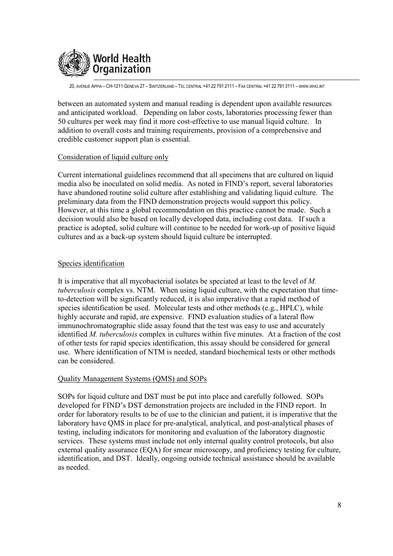

between an automated system and manual reading is dependent upon available resources and anticipated workload. Depending on labor costs, laboratories processing fewer than 50 cultures per week may find it more cost-effective to use manual liquid culture. In addition to overall costs and training requirements, provision of a comprehensive and credible customer support plan is essential.

#### Consideration of liquid culture only

Current international guidelines recommend that all specimens that are cultured on liquid media also be inoculated on solid media. As noted in FIND's report, several laboratories have abandoned routine solid culture after establishing and validating liquid culture. The preliminary data from the FIND demonstration projects would support this policy. However, at this time a global recommendation on this practice cannot be made. Such a decision would also be based on locally developed data, including cost data. If such a practice is adopted, solid culture will continue to be needed for work-up of positive liquid cultures and as a back-up system should liquid culture be interrupted.

#### Species identification

It is imperative that all mycobacterial isolates be speciated at least to the level of M. tuberculosis complex vs. NTM. When using liquid culture, with the expectation that timeto-detection will be significantly reduced, it is also imperative that a rapid method of species identification be used. Molecular tests and other methods (e.g., HPLC), while highly accurate and rapid, are expensive. FIND evaluation studies of a lateral flow immunochromatographic slide assay found that the test was easy to use and accurately identified *M. tuberculosis* complex in cultures within five minutes. At a fraction of the cost of other tests for rapid species identification, this assay should be considered for general use. Where identification of NTM is needed, standard biochemical tests or other methods can be considered.

## **Quality Management Systems (QMS) and SOPs**

SOPs for liquid culture and DST must be put into place and carefully followed. SOPs developed for FIND's DST demonstration projects are included in the FIND report. In order for laboratory results to be of use to the clinician and patient, it is imperative that the laboratory have QMS in place for pre-analytical, analytical, and post-analytical phases of testing, including indicators for monitoring and evaluation of the laboratory diagnostic services. These systems must include not only internal quality control protocols, but also external quality assurance (EQA) for smear microscopy, and proficiency testing for culture, identification, and DST. Ideally, ongoing outside technical assistance should be available as needed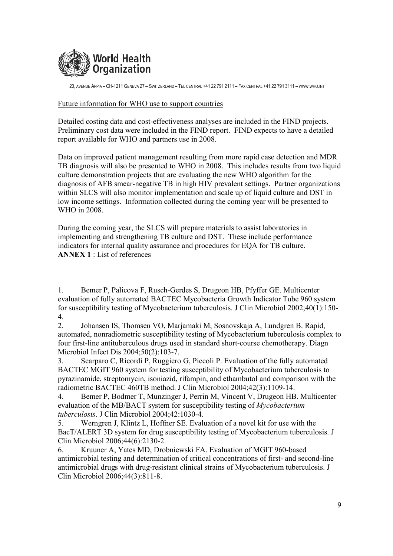

#### Future information for WHO use to support countries

Detailed costing data and cost-effectiveness analyses are included in the FIND projects. Preliminary cost data were included in the FIND report. FIND expects to have a detailed report available for WHO and partners use in 2008.

Data on improved patient management resulting from more rapid case detection and MDR TB diagnosis will also be presented to WHO in 2008. This includes results from two liquid culture demonstration projects that are evaluating the new WHO algorithm for the diagnosis of AFB smear-negative TB in high HIV prevalent settings. Partner organizations within SLCS will also monitor implementation and scale up of liquid culture and DST in low income settings. Information collected during the coming year will be presented to WHO in 2008.

During the coming year, the SLCS will prepare materials to assist laboratories in implementing and strengthening TB culture and DST. These include performance indicators for internal quality assurance and procedures for EQA for TB culture.  $$ 

Bemer P, Palicova F, Rusch-Gerdes S, Drugeon HB, Pfyffer GE. Multicenter  $\mathbf{1}$ . evaluation of fully automated BACTEC Mycobacteria Growth Indicator Tube 960 system for susceptibility testing of Mycobacterium tuberculosis. J Clin Microbiol 2002;40(1):150- $4.$ 

Johansen IS, Thomsen VO, Marjamaki M, Sosnovskaja A, Lundgren B. Rapid, 2. automated, nonradiometric susceptibility testing of Mycobacterium tuberculosis complex to four first-line antituberculous drugs used in standard short-course chemotherapy. Diagn Microbiol Infect Dis 2004;50(2):103-7.

Scarparo C. Ricordi P. Ruggiero G. Piccoli P. Evaluation of the fully automated  $3<sub>1</sub>$ BACTEC MGIT 960 system for testing susceptibility of Mycobacterium tuberculosis to pyrazinamide, streptomycin, isoniazid, rifampin, and ethambutol and comparison with the radiometric BACTEC 460TB method. J Clin Microbiol 2004;42(3):1109-14.

Bemer P, Bodmer T, Munzinger J, Perrin M, Vincent V, Drugeon HB. Multicenter  $\overline{4}$ . evaluation of the MB/BACT system for susceptibility testing of Mycobacterium tuberculosis. J Clin Microbiol 2004;42:1030-4.

Werngren J, Klintz L, Hoffner SE. Evaluation of a novel kit for use with the 5. BacT/ALERT 3D system for drug susceptibility testing of Mycobacterium tuberculosis. J Clin Microbiol 2006;44(6):2130-2.

Kruuner A, Yates MD, Drobniewski FA. Evaluation of MGIT 960-based 6 antimicrobial testing and determination of critical concentrations of first- and second-line antimicrobial drugs with drug-resistant clinical strains of Mycobacterium tuberculosis. J Clin Microbiol 2006;44(3):811-8.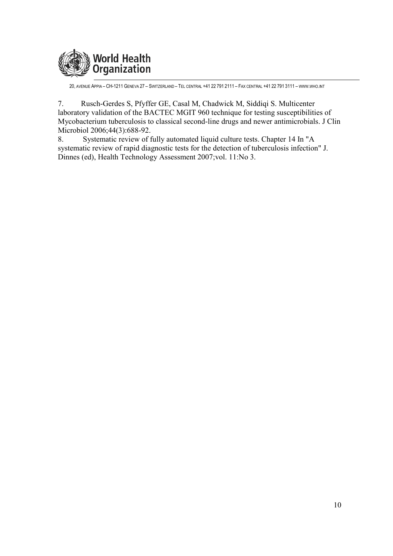

 $7.$ Rusch-Gerdes S, Pfyffer GE, Casal M, Chadwick M, Siddiqi S. Multicenter laboratory validation of the BACTEC MGIT 960 technique for testing susceptibilities of Mycobacterium tuberculosis to classical second-line drugs and newer antimicrobials. J Clin Microbiol 2006;44(3):688-92.

Systematic review of fully automated liquid culture tests. Chapter 14 In "A 8. systematic review of rapid diagnostic tests for the detection of tuberculosis infection" J. Dinnes (ed), Health Technology Assessment 2007; vol. 11: No 3.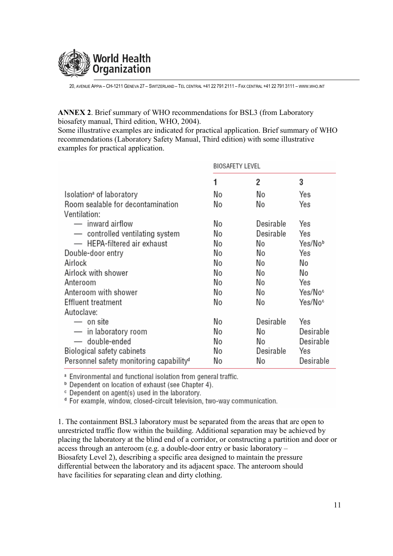

**ANNEX 2.** Brief summary of WHO recommendations for BSL3 (from Laboratory biosafety manual, Third edition, WHO, 2004).

Some illustrative examples are indicated for practical application. Brief summary of WHO recommendations (Laboratory Safety Manual, Third edition) with some illustrative examples for practical application.

|                                                     | <b>BIOSAFETY LEVEL</b> |           |                     |
|-----------------------------------------------------|------------------------|-----------|---------------------|
|                                                     | 1                      | 2         | 3                   |
| Isolation <sup>a</sup> of laboratory                | No                     | No        | Yes                 |
| Room sealable for decontamination                   | No                     | No        | Yes                 |
| Ventilation:                                        |                        |           |                     |
| — inward airflow                                    | No                     | Desirable | Yes                 |
| - controlled ventilating system                     | No                     | Desirable | Yes                 |
| - HEPA-filtered air exhaust                         | No                     | No        | Yes/Nob             |
| Double-door entry                                   | No                     | No        | Yes                 |
| Airlock                                             | No                     | No        | No                  |
| Airlock with shower                                 | No                     | No        | No                  |
| Anteroom                                            | No                     | No        | Yes                 |
| Anteroom with shower                                | No                     | No        | Yes/No <sup>c</sup> |
| Effluent treatment                                  | No                     | No        | Yes/No <sup>c</sup> |
| Autoclave:                                          |                        |           |                     |
| — on site                                           | No                     | Desirable | Yes                 |
| — in laboratory room                                | No                     | No        | Desirable           |
| — double-ended                                      | No                     | No        | Desirable           |
| Biological safety cabinets                          | No                     | Desirable | Yes                 |
| Personnel safety monitoring capability <sup>d</sup> | No                     | No        | Desirable           |

<sup>a</sup> Environmental and functional isolation from general traffic.

<sup>b</sup> Dependent on location of exhaust (see Chapter 4).

<sup>c</sup> Dependent on agent(s) used in the laboratory.

<sup>d</sup> For example, window, closed-circuit television, two-way communication.

1. The containment BSL3 laboratory must be separated from the areas that are open to unrestricted traffic flow within the building. Additional separation may be achieved by placing the laboratory at the blind end of a corridor, or constructing a partition and door or access through an anteroom (e.g. a double-door entry or basic laboratory – Biosafety Level 2), describing a specific area designed to maintain the pressure differential between the laboratory and its adjacent space. The anteroom should have facilities for separating clean and dirty clothing.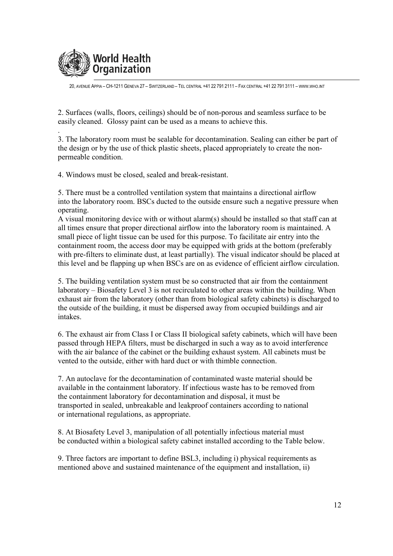

2. Surfaces (walls, floors, ceilings) should be of non-porous and seamless surface to be easily cleaned. Glossy paint can be used as a means to achieve this.

3. The laboratory room must be sealable for decontamination. Sealing can either be part of the design or by the use of thick plastic sheets, placed appropriately to create the nonpermeable condition.

4. Windows must be closed, sealed and break-resistant.

5. There must be a controlled ventilation system that maintains a directional airflow into the laboratory room. BSCs ducted to the outside ensure such a negative pressure when operating.

A visual monitoring device with or without alarm(s) should be installed so that staff can at all times ensure that proper directional airflow into the laboratory room is maintained. A small piece of light tissue can be used for this purpose. To facilitate air entry into the containment room, the access door may be equipped with grids at the bottom (preferably with pre-filters to eliminate dust, at least partially). The visual indicator should be placed at this level and be flapping up when BSCs are on as evidence of efficient airflow circulation.

5. The building ventilation system must be so constructed that air from the containment laboratory – Biosafety Level 3 is not recirculated to other areas within the building. When exhaust air from the laboratory (other than from biological safety cabinets) is discharged to the outside of the building, it must be dispersed away from occupied buildings and air intakes

6. The exhaust air from Class I or Class II biological safety cabinets, which will have been passed through HEPA filters, must be discharged in such a way as to avoid interference with the air balance of the cabinet or the building exhaust system. All cabinets must be vented to the outside, either with hard duct or with thimble connection.

7. An autoclave for the decontamination of contaminated waste material should be available in the containment laboratory. If infectious waste has to be removed from the containment laboratory for decontamination and disposal, it must be transported in sealed, unbreakable and leakproof containers according to national or international regulations, as appropriate.

8. At Biosafety Level 3, manipulation of all potentially infectious material must be conducted within a biological safety cabinet installed according to the Table below.

9. Three factors are important to define BSL3, including i) physical requirements as mentioned above and sustained maintenance of the equipment and installation, ii)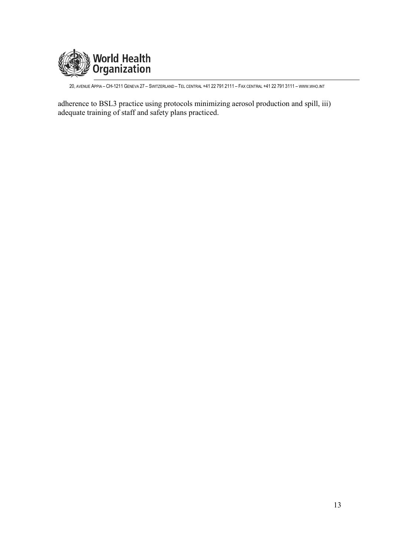

adherence to BSL3 practice using protocols minimizing aerosol production and spill, iii) adequate training of staff and safety plans practiced.